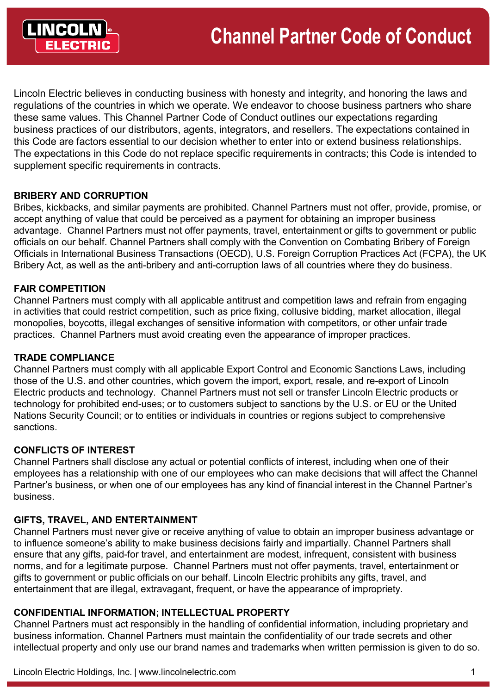

Lincoln Electric believes in conducting business with honesty and integrity, and honoring the laws and regulations of the countries in which we operate. We endeavor to choose business partners who share these same values. This Channel Partner Code of Conduct outlines our expectations regarding business practices of our distributors, agents, integrators, and resellers. The expectations contained in this Code are factors essential to our decision whether to enter into or extend business relationships. The expectations in this Code do not replace specific requirements in contracts; this Code is intended to supplement specific requirements in contracts.

# **BRIBERY AND CORRUPTION**

Bribes, kickbacks, and similar payments are prohibited. Channel Partners must not offer, provide, promise, or accept anything of value that could be perceived as a payment for obtaining an improper business advantage. Channel Partners must not offer payments, travel, entertainment or gifts to government or public officials on our behalf. Channel Partners shall comply with the Convention on Combating Bribery of Foreign Officials in International Business Transactions (OECD), U.S. Foreign Corruption Practices Act (FCPA), the UK Bribery Act, as well as the anti-bribery and anti-corruption laws of all countries where they do business.

# **FAIR COMPETITION**

Channel Partners must comply with all applicable antitrust and competition laws and refrain from engaging in activities that could restrict competition, such as price fixing, collusive bidding, market allocation, illegal monopolies, boycotts, illegal exchanges of sensitive information with competitors, or other unfair trade practices. Channel Partners must avoid creating even the appearance of improper practices.

#### **TRADE COMPLIANCE**

Channel Partners must comply with all applicable Export Control and Economic Sanctions Laws, including those of the U.S. and other countries, which govern the import, export, resale, and re-export of Lincoln Electric products and technology. Channel Partners must not sell or transfer Lincoln Electric products or technology for prohibited end-uses; or to customers subject to sanctions by the U.S. or EU or the United Nations Security Council; or to entities or individuals in countries or regions subject to comprehensive sanctions.

#### **CONFLICTS OF INTEREST**

Channel Partners shall disclose any actual or potential conflicts of interest, including when one of their employees has a relationship with one of our employees who can make decisions that will affect the Channel Partner's business, or when one of our employees has any kind of financial interest in the Channel Partner's business.

# **GIFTS, TRAVEL, AND ENTERTAINMENT**

Channel Partners must never give or receive anything of value to obtain an improper business advantage or to influence someone's ability to make business decisions fairly and impartially. Channel Partners shall ensure that any gifts, paid-for travel, and entertainment are modest, infrequent, consistent with business norms, and for a legitimate purpose. Channel Partners must not offer payments, travel, entertainment or gifts to government or public officials on our behalf. Lincoln Electric prohibits any gifts, travel, and entertainment that are illegal, extravagant, frequent, or have the appearance of impropriety.

#### **CONFIDENTIAL INFORMATION; INTELLECTUAL PROPERTY**

Channel Partners must act responsibly in the handling of confidential information, including proprietary and business information. Channel Partners must maintain the confidentiality of our trade secrets and other intellectual property and only use our brand names and trademarks when written permission is given to do so.